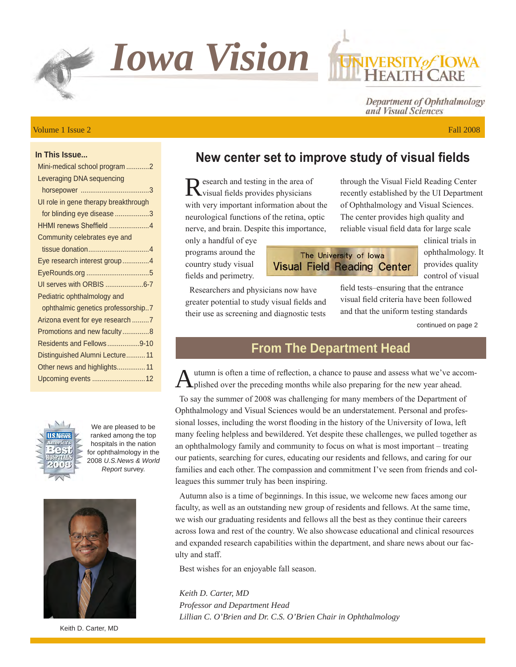

#### Volume 1 Issue 2 Fall 2008

Department of Ophthalmology and Visual Sciences

### **In This Issue...**

| Mini-medical school program 2        |
|--------------------------------------|
| Leveraging DNA sequencing            |
|                                      |
| UI role in gene therapy breakthrough |
| for blinding eye disease 3           |
| HHMI renews Sheffield 4              |
| Community celebrates eye and         |
|                                      |
| Eye research interest group4         |
|                                      |
| UI serves with ORBIS 6-7             |
| Pediatric ophthalmology and          |
| ophthalmic genetics professorship7   |
| Arizona event for eye research 7     |
| Promotions and new faculty8          |
| Residents and Fellows9-10            |
| Distinguished Alumni Lecture 11      |
| Other news and highlights 11         |
| Upcoming events 12                   |



We are pleased to be ranked among the top hospitals in the nation for ophthalmology in the 2008 *U.S.News & World Report* survey.



Keith D. Carter, MD

# **New center set to improve study of visual fields**

Research and testing in the area of visual fields provides physicians with very important information about the neurological functions of the retina, optic nerve, and brain. Despite this importance,

Researchers and physicians now have greater potential to study visual fields and their use as screening and diagnostic tests

only a handful of eye programs around the country study visual fields and perimetry.

## The University of Iowa **Visual Field Reading Center**

recently established by the UI Department of Ophthalmology and Visual Sciences. The center provides high quality and reliable visual field data for large scale

through the Visual Field Reading Center

clinical trials in ophthalmology. It provides quality control of visual

field tests–ensuring that the entrance visual field criteria have been followed and that the uniform testing standards

continued on page 2

## **From The Department Head**

Autumn is often a time of reflection, a chance to pause and assess what we've accom-<br>plished over the preceding months while also preparing for the new year ahead.

To say the summer of 2008 was challenging for many members of the Department of Ophthalmology and Visual Sciences would be an understatement. Personal and professional losses, including the worst flooding in the history of the University of Iowa, left many feeling helpless and bewildered. Yet despite these challenges, we pulled together as an ophthalmology family and community to focus on what is most important – treating our patients, searching for cures, educating our residents and fellows, and caring for our families and each other. The compassion and commitment I've seen from friends and colleagues this summer truly has been inspiring.

Autumn also is a time of beginnings. In this issue, we welcome new faces among our faculty, as well as an outstanding new group of residents and fellows. At the same time, we wish our graduating residents and fellows all the best as they continue their careers across Iowa and rest of the country. We also showcase educational and clinical resources and expanded research capabilities within the department, and share news about our faculty and staff.

Best wishes for an enjoyable fall season.

*Keith D. Carter, MD Professor and Department Head Lillian C. O'Brien and Dr. C.S. O'Brien Chair in Ophthalmology*